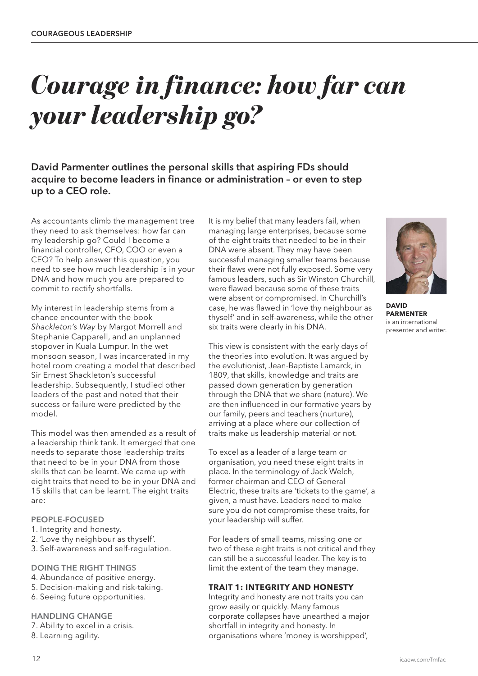# *Courage in finance: how far can your leadership go?*

**David Parmenter outlines the personal skills that aspiring FDs should acquire to become leaders in finance or administration – or even to step up to a CEO role.**

As accountants climb the management tree they need to ask themselves: how far can my leadership go? Could I become a financial controller, CFO, COO or even a CEO? To help answer this question, you need to see how much leadership is in your DNA and how much you are prepared to commit to rectify shortfalls.

My interest in leadership stems from a chance encounter with the book *Shackleton's Way* by Margot Morrell and Stephanie Capparell, and an unplanned stopover in Kuala Lumpur. In the wet monsoon season, I was incarcerated in my hotel room creating a model that described Sir Ernest Shackleton's successful leadership. Subsequently, I studied other leaders of the past and noted that their success or failure were predicted by the model.

This model was then amended as a result of a leadership think tank. It emerged that one needs to separate those leadership traits that need to be in your DNA from those skills that can be learnt. We came up with eight traits that need to be in your DNA and 15 skills that can be learnt. The eight traits are:

#### **PEOPLE-FOCUSED**

- 1. Integrity and honesty.
- 2. 'Love thy neighbour as thyself'.
- 3. Self-awareness and self-regulation.

#### **DOING THE RIGHT THINGS**

- 4. Abundance of positive energy.
- 5. Decision-making and risk-taking.
- 6. Seeing future opportunities.

#### **HANDLING CHANGE**

- 7. Ability to excel in a crisis.
- 8. Learning agility.

It is my belief that many leaders fail, when managing large enterprises, because some of the eight traits that needed to be in their DNA were absent. They may have been successful managing smaller teams because their flaws were not fully exposed. Some very famous leaders, such as Sir Winston Churchill, were flawed because some of these traits were absent or compromised. In Churchill's case, he was flawed in 'love thy neighbour as thyself' and in self-awareness, while the other six traits were clearly in his DNA.

This view is consistent with the early days of the theories into evolution. It was argued by the evolutionist, Jean-Baptiste Lamarck, in 1809, that skills, knowledge and traits are passed down generation by generation through the DNA that we share (nature). We are then influenced in our formative years by our family, peers and teachers (nurture), arriving at a place where our collection of traits make us leadership material or not.

To excel as a leader of a large team or organisation, you need these eight traits in place. In the terminology of Jack Welch, former chairman and CEO of General Electric, these traits are 'tickets to the game', a given, a must have. Leaders need to make sure you do not compromise these traits, for your leadership will suffer.

For leaders of small teams, missing one or two of these eight traits is not critical and they can still be a successful leader. The key is to limit the extent of the team they manage.

#### **TRAIT 1: INTEGRITY AND HONESTY**

Integrity and honesty are not traits you can grow easily or quickly. Many famous corporate collapses have unearthed a major shortfall in integrity and honesty. In organisations where 'money is worshipped',



**DAVID PARMENTER** is an international presenter and writer.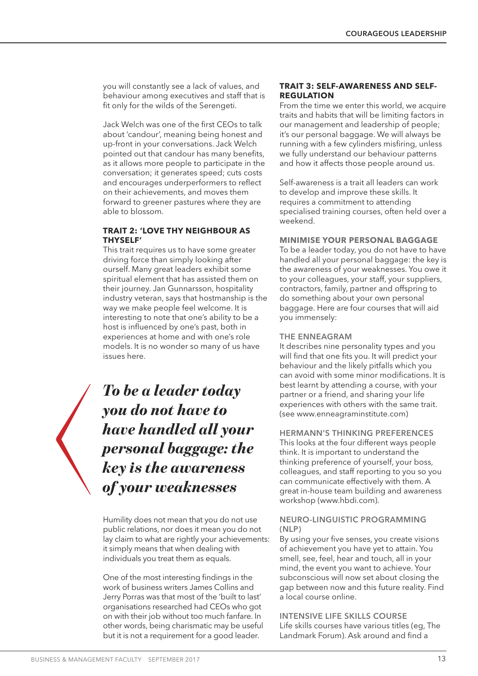you will constantly see a lack of values, and behaviour among executives and staff that is fit only for the wilds of the Serengeti.

Jack Welch was one of the first CEOs to talk about 'candour', meaning being honest and up-front in your conversations. Jack Welch pointed out that candour has many benefits, as it allows more people to participate in the conversation; it generates speed; cuts costs and encourages underperformers to reflect on their achievements, and moves them forward to greener pastures where they are able to blossom.

# **TRAIT 2: 'LOVE THY NEIGHBOUR AS THYSELF'**

This trait requires us to have some greater driving force than simply looking after ourself. Many great leaders exhibit some spiritual element that has assisted them on their journey. Jan Gunnarsson, hospitality industry veteran, says that hostmanship is the way we make people feel welcome. It is interesting to note that one's ability to be a host is influenced by one's past, both in experiences at home and with one's role models. It is no wonder so many of us have issues here.

*To be a leader today you do not have to have handled all your personal baggage: the key is the awareness of your weaknesses*

Humility does not mean that you do not use public relations, nor does it mean you do not lay claim to what are rightly your achievements: it simply means that when dealing with individuals you treat them as equals.

One of the most interesting findings in the work of business writers James Collins and Jerry Porras was that most of the 'built to last' organisations researched had CEOs who got on with their job without too much fanfare. In other words, being charismatic may be useful but it is not a requirement for a good leader.

#### **TRAIT 3: SELF-AWARENESS AND SELF-REGULATION**

From the time we enter this world, we acquire traits and habits that will be limiting factors in our management and leadership of people; it's our personal baggage. We will always be running with a few cylinders misfiring, unless we fully understand our behaviour patterns and how it affects those people around us.

Self-awareness is a trait all leaders can work to develop and improve these skills. It requires a commitment to attending specialised training courses, often held over a weekend.

# **MINIMISE YOUR PERSONAL BAGGAGE**

To be a leader today, you do not have to have handled all your personal baggage: the key is the awareness of your weaknesses. You owe it to your colleagues, your staff, your suppliers, contractors, family, partner and offspring to do something about your own personal baggage. Here are four courses that will aid you immensely:

#### **THE ENNEAGRAM**

It describes nine personality types and you will find that one fits you. It will predict your behaviour and the likely pitfalls which you can avoid with some minor modifications. It is best learnt by attending a course, with your partner or a friend, and sharing your life experiences with others with the same trait. (see www.enneagraminstitute.com)

#### **HERMANN'S THINKING PREFERENCES**

This looks at the four different ways people think. It is important to understand the thinking preference of yourself, your boss, colleagues, and staff reporting to you so you can communicate effectively with them. A great in-house team building and awareness workshop (www.hbdi.com).

#### **NEURO-LINGUISTIC PROGRAMMING (NLP)**

By using your five senses, you create visions of achievement you have yet to attain. You smell, see, feel, hear and touch, all in your mind, the event you want to achieve. Your subconscious will now set about closing the gap between now and this future reality. Find a local course online.

#### **INTENSIVE LIFE SKILLS COURSE** Life skills courses have various titles (eg, The Landmark Forum). Ask around and find a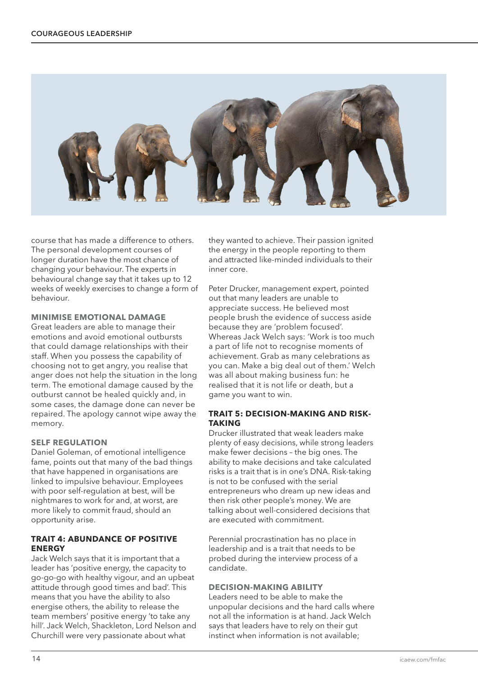

course that has made a difference to others. The personal development courses of longer duration have the most chance of changing your behaviour. The experts in behavioural change say that it takes up to 12 weeks of weekly exercises to change a form of behaviour.

#### **MINIMISE EMOTIONAL DAMAGE**

Great leaders are able to manage their emotions and avoid emotional outbursts that could damage relationships with their staff. When you possess the capability of choosing not to get angry, you realise that anger does not help the situation in the long term. The emotional damage caused by the outburst cannot be healed quickly and, in some cases, the damage done can never be repaired. The apology cannot wipe away the memory.

#### **SELF REGULATION**

Daniel Goleman, of emotional intelligence fame, points out that many of the bad things that have happened in organisations are linked to impulsive behaviour. Employees with poor self-regulation at best, will be nightmares to work for and, at worst, are more likely to commit fraud, should an opportunity arise.

#### **TRAIT 4: ABUNDANCE OF POSITIVE ENERGY**

Jack Welch says that it is important that a leader has 'positive energy, the capacity to go-go-go with healthy vigour, and an upbeat attitude through good times and bad'. This means that you have the ability to also energise others, the ability to release the team members' positive energy 'to take any hill'. Jack Welch, Shackleton, Lord Nelson and Churchill were very passionate about what

they wanted to achieve. Their passion ignited the energy in the people reporting to them and attracted like-minded individuals to their inner core.

Peter Drucker, management expert, pointed out that many leaders are unable to appreciate success. He believed most people brush the evidence of success aside because they are 'problem focused'. Whereas Jack Welch says: 'Work is too much a part of life not to recognise moments of achievement. Grab as many celebrations as you can. Make a big deal out of them.' Welch was all about making business fun: he realised that it is not life or death, but a game you want to win.

#### **TRAIT 5: DECISION-MAKING AND RISK-TAKING**

Drucker illustrated that weak leaders make plenty of easy decisions, while strong leaders make fewer decisions – the big ones. The ability to make decisions and take calculated risks is a trait that is in one's DNA. Risk-taking is not to be confused with the serial entrepreneurs who dream up new ideas and then risk other people's money. We are talking about well-considered decisions that are executed with commitment.

Perennial procrastination has no place in leadership and is a trait that needs to be probed during the interview process of a candidate.

# **DECISION-MAKING ABILITY**

Leaders need to be able to make the unpopular decisions and the hard calls where not all the information is at hand. Jack Welch says that leaders have to rely on their gut instinct when information is not available;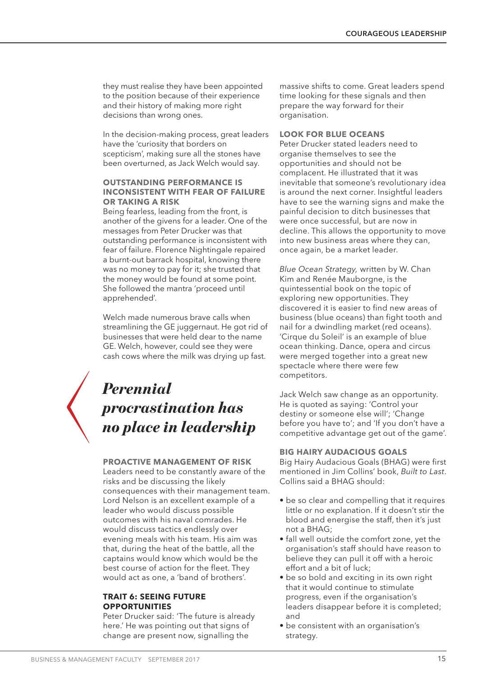they must realise they have been appointed to the position because of their experience and their history of making more right decisions than wrong ones.

In the decision-making process, great leaders have the 'curiosity that borders on scepticism', making sure all the stones have been overturned, as Jack Welch would say.

#### **OUTSTANDING PERFORMANCE IS INCONSISTENT WITH FEAR OF FAILURE OR TAKING A RISK**

Being fearless, leading from the front, is another of the givens for a leader. One of the messages from Peter Drucker was that outstanding performance is inconsistent with fear of failure. Florence Nightingale repaired a burnt-out barrack hospital, knowing there was no money to pay for it; she trusted that the money would be found at some point. She followed the mantra 'proceed until apprehended'.

Welch made numerous brave calls when streamlining the GE juggernaut. He got rid of businesses that were held dear to the name GE. Welch, however, could see they were cash cows where the milk was drying up fast.

# *Perennial procrastination has no place in leadership*

#### **PROACTIVE MANAGEMENT OF RISK**

Leaders need to be constantly aware of the risks and be discussing the likely consequences with their management team. Lord Nelson is an excellent example of a leader who would discuss possible outcomes with his naval comrades. He would discuss tactics endlessly over evening meals with his team. His aim was that, during the heat of the battle, all the captains would know which would be the best course of action for the fleet. They would act as one, a 'band of brothers'.

#### **TRAIT 6: SEEING FUTURE OPPORTUNITIES**

Peter Drucker said: 'The future is already here.' He was pointing out that signs of change are present now, signalling the

massive shifts to come. Great leaders spend time looking for these signals and then prepare the way forward for their organisation.

# **LOOK FOR BLUE OCEANS**

Peter Drucker stated leaders need to organise themselves to see the opportunities and should not be complacent. He illustrated that it was inevitable that someone's revolutionary idea is around the next corner. Insightful leaders have to see the warning signs and make the painful decision to ditch businesses that were once successful, but are now in decline. This allows the opportunity to move into new business areas where they can, once again, be a market leader.

*Blue Ocean Strategy,* written by W. Chan Kim and Renée Mauborgne, is the quintessential book on the topic of exploring new opportunities. They discovered it is easier to find new areas of business (blue oceans) than fight tooth and nail for a dwindling market (red oceans). 'Cirque du Soleil' is an example of blue ocean thinking. Dance, opera and circus were merged together into a great new spectacle where there were few competitors.

Jack Welch saw change as an opportunity. He is quoted as saying: 'Control your destiny or someone else will'; 'Change before you have to'; and 'If you don't have a competitive advantage get out of the game'.

#### **BIG HAIRY AUDACIOUS GOALS**

Big Hairy Audacious Goals (BHAG) were first mentioned in Jim Collins' book, *Built to Last*. Collins said a BHAG should:

- be so clear and compelling that it requires little or no explanation. If it doesn't stir the blood and energise the staff, then it's just not a BHAG;
- fall well outside the comfort zone, yet the organisation's staff should have reason to believe they can pull it off with a heroic effort and a bit of luck;
- be so bold and exciting in its own right that it would continue to stimulate progress, even if the organisation's leaders disappear before it is completed; and
- be consistent with an organisation's strategy.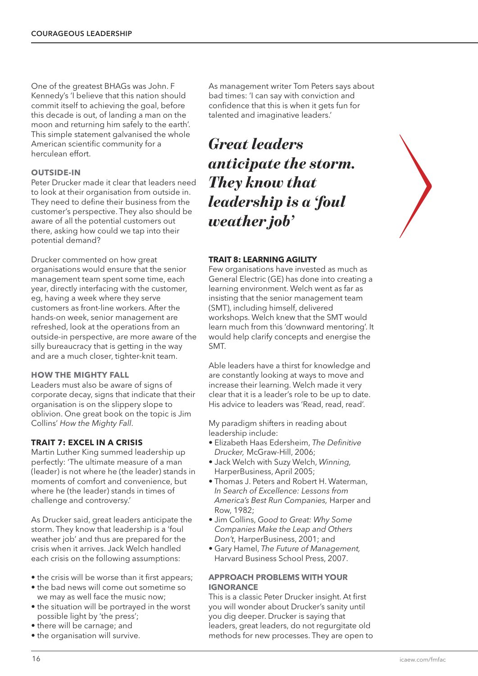One of the greatest BHAGs was John. F Kennedy's 'I believe that this nation should commit itself to achieving the goal, before this decade is out, of landing a man on the moon and returning him safely to the earth'. This simple statement galvanised the whole American scientific community for a herculean effort.

# **OUTSIDE-IN**

Peter Drucker made it clear that leaders need to look at their organisation from outside in. They need to define their business from the customer's perspective. They also should be aware of all the potential customers out there, asking how could we tap into their potential demand?

Drucker commented on how great organisations would ensure that the senior management team spent some time, each year, directly interfacing with the customer, eg, having a week where they serve customers as front-line workers. After the hands-on week, senior management are refreshed, look at the operations from an outside-in perspective, are more aware of the silly bureaucracy that is getting in the way and are a much closer, tighter-knit team.

#### **HOW THE MIGHTY FALL**

Leaders must also be aware of signs of corporate decay, signs that indicate that their organisation is on the slippery slope to oblivion. One great book on the topic is Jim Collins' *How the Mighty Fall*.

#### **TRAIT 7: EXCEL IN A CRISIS**

Martin Luther King summed leadership up perfectly: 'The ultimate measure of a man (leader) is not where he (the leader) stands in moments of comfort and convenience, but where he (the leader) stands in times of challenge and controversy.'

As Drucker said, great leaders anticipate the storm. They know that leadership is a 'foul weather job' and thus are prepared for the crisis when it arrives. Jack Welch handled each crisis on the following assumptions:

- the crisis will be worse than it first appears;
- the bad news will come out sometime so we may as well face the music now;
- the situation will be portrayed in the worst possible light by 'the press';
- there will be carnage; and
- the organisation will survive.

As management writer Tom Peters says about bad times: 'I can say with conviction and confidence that this is when it gets fun for talented and imaginative leaders.'

*Great leaders anticipate the storm. They know that leadership is a 'foul weather job'*



#### **TRAIT 8: LEARNING AGILITY**

Few organisations have invested as much as General Electric (GE) has done into creating a learning environment. Welch went as far as insisting that the senior management team (SMT), including himself, delivered workshops. Welch knew that the SMT would learn much from this 'downward mentoring'. It would help clarify concepts and energise the SMT.

Able leaders have a thirst for knowledge and are constantly looking at ways to move and increase their learning. Welch made it very clear that it is a leader's role to be up to date. His advice to leaders was 'Read, read, read'.

My paradigm shifters in reading about leadership include:

- Elizabeth Haas Edersheim, *The Definitive Drucker,* McGraw-Hill, 2006;
- Jack Welch with Suzy Welch, *Winning,* HarperBusiness, April 2005;
- Thomas J. Peters and Robert H. Waterman, *In Search of Excellence: Lessons from America's Best Run Companies,* Harper and Row, 1982;
- Jim Collins, *Good to Great: Why Some Companies Make the Leap and Others Don't,* HarperBusiness, 2001; and
- Gary Hamel, *The Future of Management,* Harvard Business School Press, 2007.

#### **APPROACH PROBLEMS WITH YOUR IGNORANCE**

This is a classic Peter Drucker insight. At first you will wonder about Drucker's sanity until you dig deeper. Drucker is saying that leaders, great leaders, do not regurgitate old methods for new processes. They are open to